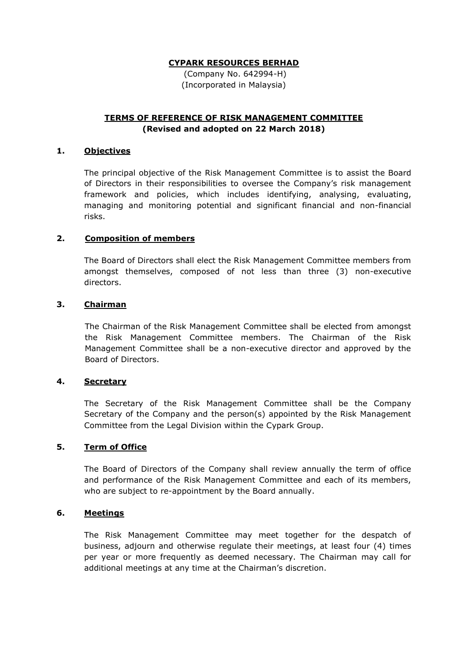(Company No. 642994-H) (Incorporated in Malaysia)

# **TERMS OF REFERENCE OF RISK MANAGEMENT COMMITTEE (Revised and adopted on 22 March 2018)**

### **1. Objectives**

The principal objective of the Risk Management Committee is to assist the Board of Directors in their responsibilities to oversee the Company's risk management framework and policies, which includes identifying, analysing, evaluating, managing and monitoring potential and significant financial and non-financial risks.

## **2. Composition of members**

The Board of Directors shall elect the Risk Management Committee members from amongst themselves, composed of not less than three (3) non-executive directors.

### **3. Chairman**

The Chairman of the Risk Management Committee shall be elected from amongst the Risk Management Committee members. The Chairman of the Risk Management Committee shall be a non-executive director and approved by the Board of Directors.

#### **4. Secretary**

The Secretary of the Risk Management Committee shall be the Company Secretary of the Company and the person(s) appointed by the Risk Management Committee from the Legal Division within the Cypark Group.

#### **5. Term of Office**

The Board of Directors of the Company shall review annually the term of office and performance of the Risk Management Committee and each of its members, who are subject to re-appointment by the Board annually.

#### **6. Meetings**

The Risk Management Committee may meet together for the despatch of business, adjourn and otherwise regulate their meetings, at least four (4) times per year or more frequently as deemed necessary. The Chairman may call for additional meetings at any time at the Chairman's discretion.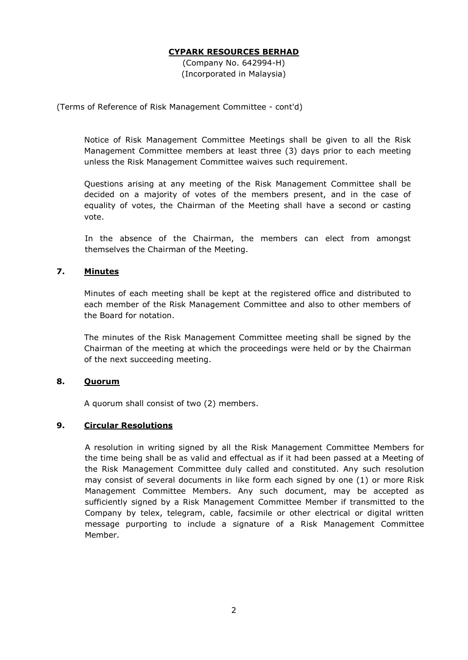(Company No. 642994-H) (Incorporated in Malaysia)

(Terms of Reference of Risk Management Committee - cont'd)

Notice of Risk Management Committee Meetings shall be given to all the Risk Management Committee members at least three (3) days prior to each meeting unless the Risk Management Committee waives such requirement.

Questions arising at any meeting of the Risk Management Committee shall be decided on a majority of votes of the members present, and in the case of equality of votes, the Chairman of the Meeting shall have a second or casting vote.

In the absence of the Chairman, the members can elect from amongst themselves the Chairman of the Meeting.

### **7. Minutes**

Minutes of each meeting shall be kept at the registered office and distributed to each member of the Risk Management Committee and also to other members of the Board for notation.

The minutes of the Risk Management Committee meeting shall be signed by the Chairman of the meeting at which the proceedings were held or by the Chairman of the next succeeding meeting.

## **8. Quorum**

A quorum shall consist of two (2) members.

## **9. Circular Resolutions**

A resolution in writing signed by all the Risk Management Committee Members for the time being shall be as valid and effectual as if it had been passed at a Meeting of the Risk Management Committee duly called and constituted. Any such resolution may consist of several documents in like form each signed by one (1) or more Risk Management Committee Members. Any such document, may be accepted as sufficiently signed by a Risk Management Committee Member if transmitted to the Company by telex, telegram, cable, facsimile or other electrical or digital written message purporting to include a signature of a Risk Management Committee Member.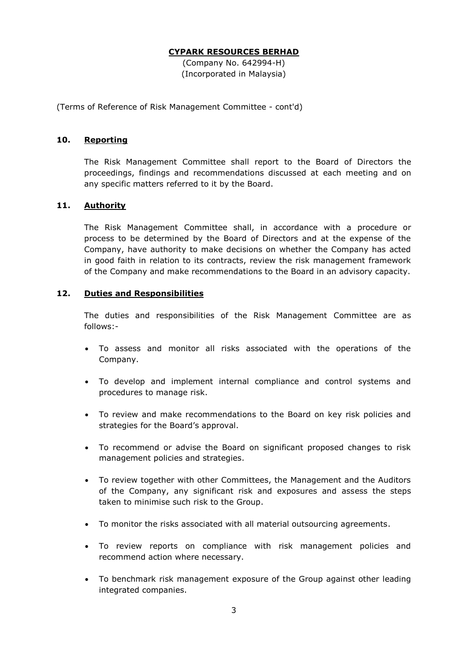(Company No. 642994-H) (Incorporated in Malaysia)

(Terms of Reference of Risk Management Committee - cont'd)

#### **10. Reporting**

The Risk Management Committee shall report to the Board of Directors the proceedings, findings and recommendations discussed at each meeting and on any specific matters referred to it by the Board.

### **11. Authority**

The Risk Management Committee shall, in accordance with a procedure or process to be determined by the Board of Directors and at the expense of the Company, have authority to make decisions on whether the Company has acted in good faith in relation to its contracts, review the risk management framework of the Company and make recommendations to the Board in an advisory capacity.

### **12. Duties and Responsibilities**

The duties and responsibilities of the Risk Management Committee are as follows:-

- To assess and monitor all risks associated with the operations of the Company.
- To develop and implement internal compliance and control systems and procedures to manage risk.
- To review and make recommendations to the Board on key risk policies and strategies for the Board's approval.
- To recommend or advise the Board on significant proposed changes to risk management policies and strategies.
- To review together with other Committees, the Management and the Auditors of the Company, any significant risk and exposures and assess the steps taken to minimise such risk to the Group.
- To monitor the risks associated with all material outsourcing agreements.
- To review reports on compliance with risk management policies and recommend action where necessary.
- To benchmark risk management exposure of the Group against other leading integrated companies.